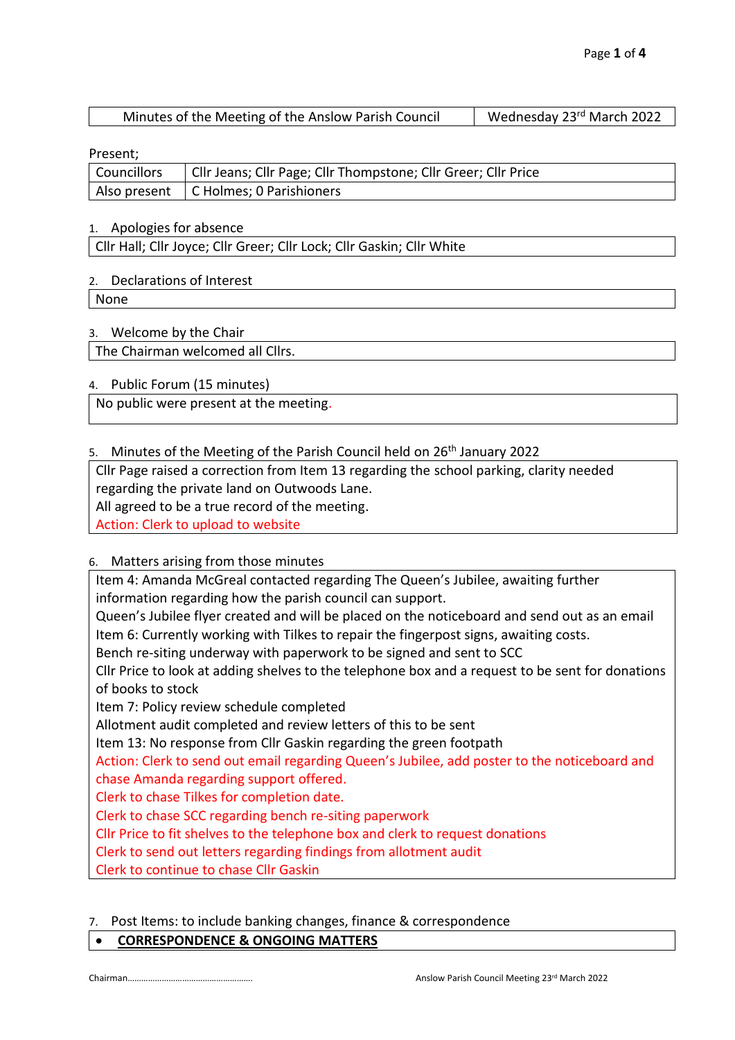| Minutes of the Meeting of the Anslow Parish Council | Wednesday 23rd March 2022 |
|-----------------------------------------------------|---------------------------|
|-----------------------------------------------------|---------------------------|

Present;

| Councillors   Cllr Jeans; Cllr Page; Cllr Thompstone; Cllr Greer; Cllr Price |
|------------------------------------------------------------------------------|
| Also present   C Holmes; 0 Parishioners                                      |

# 1. Apologies for absence

Cllr Hall; Cllr Joyce; Cllr Greer; Cllr Lock; Cllr Gaskin; Cllr White

# 2. Declarations of Interest

None

# 3. Welcome by the Chair

The Chairman welcomed all Cllrs.

# 4. Public Forum (15 minutes)

No public were present at the meeting.

# 5. Minutes of the Meeting of the Parish Council held on 26<sup>th</sup> January 2022

Cllr Page raised a correction from Item 13 regarding the school parking, clarity needed

regarding the private land on Outwoods Lane.

All agreed to be a true record of the meeting.

Action: Clerk to upload to website

# 6. Matters arising from those minutes

Item 4: Amanda McGreal contacted regarding The Queen's Jubilee, awaiting further information regarding how the parish council can support.

Queen's Jubilee flyer created and will be placed on the noticeboard and send out as an email Item 6: Currently working with Tilkes to repair the fingerpost signs, awaiting costs.

Bench re-siting underway with paperwork to be signed and sent to SCC

Cllr Price to look at adding shelves to the telephone box and a request to be sent for donations of books to stock

Item 7: Policy review schedule completed

Allotment audit completed and review letters of this to be sent

Item 13: No response from Cllr Gaskin regarding the green footpath

Action: Clerk to send out email regarding Queen's Jubilee, add poster to the noticeboard and chase Amanda regarding support offered.

Clerk to chase Tilkes for completion date.

Clerk to chase SCC regarding bench re-siting paperwork

Cllr Price to fit shelves to the telephone box and clerk to request donations

Clerk to send out letters regarding findings from allotment audit

Clerk to continue to chase Cllr Gaskin

# 7. Post Items: to include banking changes, finance & correspondence

# • **CORRESPONDENCE & ONGOING MATTERS**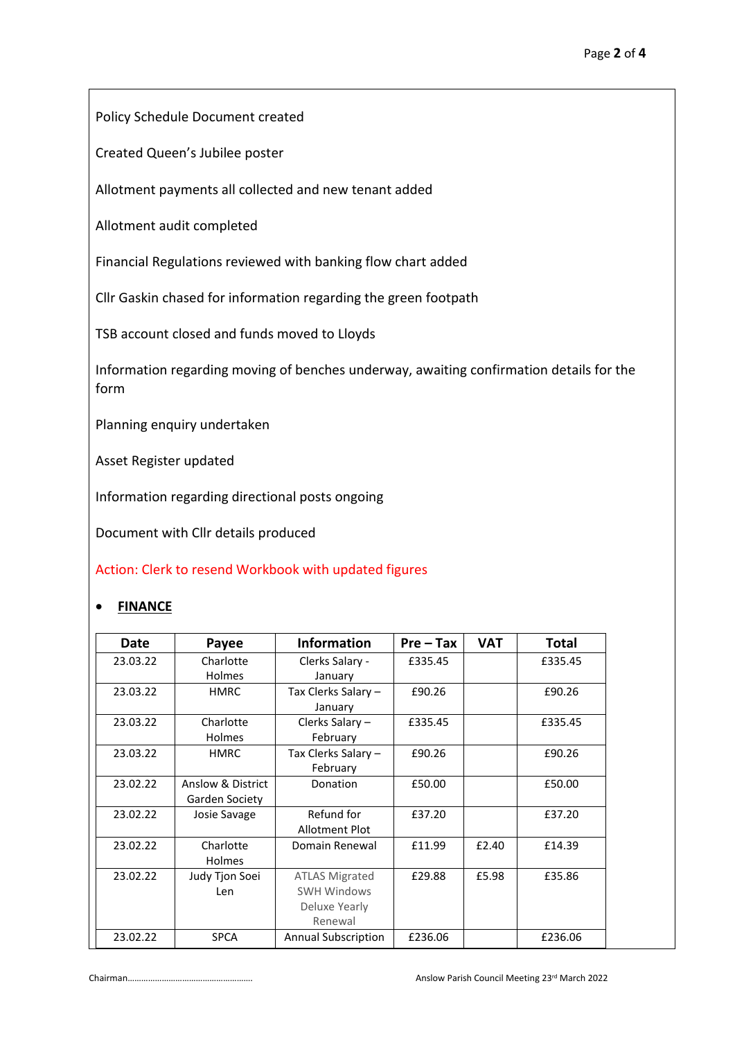Policy Schedule Document created

Created Queen's Jubilee poster

Allotment payments all collected and new tenant added

Allotment audit completed

Financial Regulations reviewed with banking flow chart added

Cllr Gaskin chased for information regarding the green footpath

TSB account closed and funds moved to Lloyds

Information regarding moving of benches underway, awaiting confirmation details for the form

Planning enquiry undertaken

Asset Register updated

Information regarding directional posts ongoing

Document with Cllr details produced

Action: Clerk to resend Workbook with updated figures

# • **FINANCE**

| Date     | Payee             | <b>Information</b>         | $Pre-Tax$ | <b>VAT</b> | Total   |
|----------|-------------------|----------------------------|-----------|------------|---------|
| 23.03.22 | Charlotte         | Clerks Salary -            | £335.45   |            | £335.45 |
|          | <b>Holmes</b>     | January                    |           |            |         |
| 23.03.22 | <b>HMRC</b>       | Tax Clerks Salary -        | £90.26    |            | £90.26  |
|          |                   | January                    |           |            |         |
| 23.03.22 | Charlotte         | Clerks Salary -            | £335.45   |            | £335.45 |
|          | Holmes            | February                   |           |            |         |
| 23.03.22 | <b>HMRC</b>       | Tax Clerks Salary -        | £90.26    |            | £90.26  |
|          |                   | February                   |           |            |         |
| 23.02.22 | Anslow & District | Donation                   | £50.00    |            | £50.00  |
|          | Garden Society    |                            |           |            |         |
| 23.02.22 | Josie Savage      | Refund for                 | £37.20    |            | £37.20  |
|          |                   | <b>Allotment Plot</b>      |           |            |         |
| 23.02.22 | Charlotte         | Domain Renewal             | £11.99    | £2.40      | £14.39  |
|          | <b>Holmes</b>     |                            |           |            |         |
| 23.02.22 | Judy Tjon Soei    | <b>ATLAS Migrated</b>      | £29.88    | £5.98      | £35.86  |
|          | Len               | <b>SWH Windows</b>         |           |            |         |
|          |                   | Deluxe Yearly              |           |            |         |
|          |                   | Renewal                    |           |            |         |
| 23.02.22 | <b>SPCA</b>       | <b>Annual Subscription</b> | £236.06   |            | £236.06 |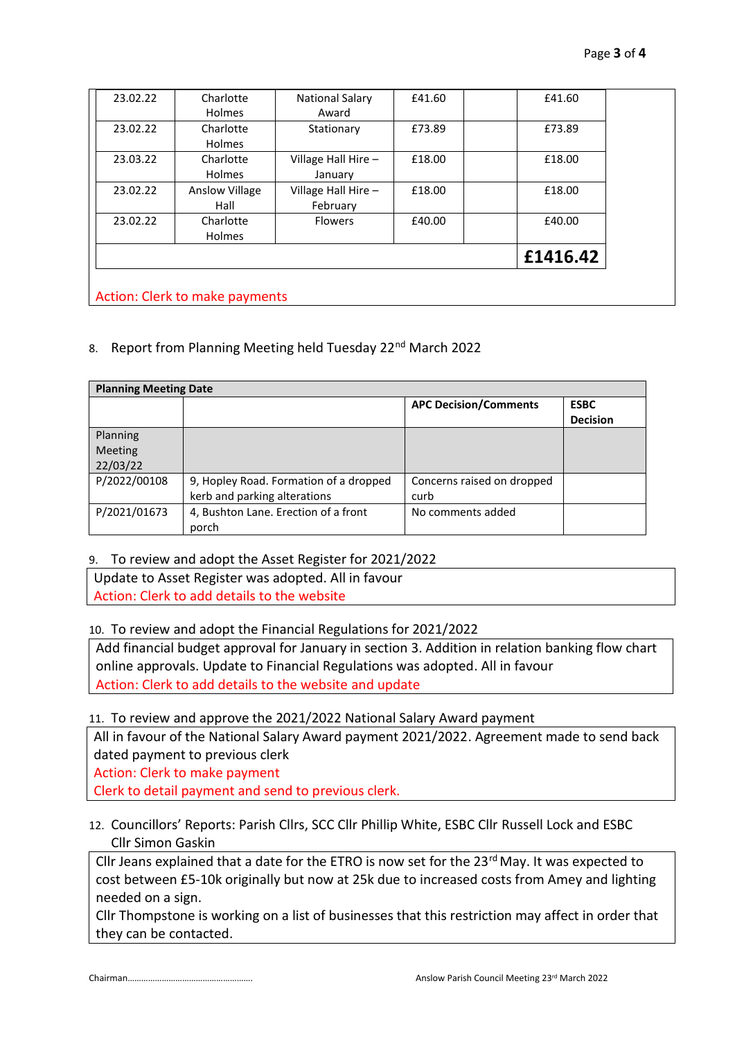| 23.02.22 | Charlotte             | National Salary     | £41.60 | £41.60   |
|----------|-----------------------|---------------------|--------|----------|
|          | Holmes                | Award               |        |          |
| 23.02.22 | Charlotte             | Stationary          | £73.89 | £73.89   |
|          | <b>Holmes</b>         |                     |        |          |
| 23.03.22 | Charlotte             | Village Hall Hire - | £18.00 | £18.00   |
|          | <b>Holmes</b>         | January             |        |          |
| 23.02.22 | <b>Anslow Village</b> | Village Hall Hire - | £18.00 | £18.00   |
|          | Hall                  | February            |        |          |
| 23.02.22 | Charlotte             | <b>Flowers</b>      | £40.00 | £40.00   |
|          | <b>Holmes</b>         |                     |        |          |
|          |                       |                     |        | £1416.42 |

# 8. Report from Planning Meeting held Tuesday 22<sup>nd</sup> March 2022

| <b>Planning Meeting Date</b> |                                        |                              |                 |  |  |
|------------------------------|----------------------------------------|------------------------------|-----------------|--|--|
|                              |                                        | <b>APC Decision/Comments</b> | <b>ESBC</b>     |  |  |
|                              |                                        |                              | <b>Decision</b> |  |  |
| Planning                     |                                        |                              |                 |  |  |
| <b>Meeting</b>               |                                        |                              |                 |  |  |
| 22/03/22                     |                                        |                              |                 |  |  |
| P/2022/00108                 | 9, Hopley Road. Formation of a dropped | Concerns raised on dropped   |                 |  |  |
|                              | kerb and parking alterations           | curb                         |                 |  |  |
| P/2021/01673                 | 4, Bushton Lane. Erection of a front   | No comments added            |                 |  |  |
|                              | porch                                  |                              |                 |  |  |

# 9. To review and adopt the Asset Register for 2021/2022

Update to Asset Register was adopted. All in favour Action: Clerk to add details to the website

# 10. To review and adopt the Financial Regulations for 2021/2022

Add financial budget approval for January in section 3. Addition in relation banking flow chart online approvals. Update to Financial Regulations was adopted. All in favour Action: Clerk to add details to the website and update

# 11. To review and approve the 2021/2022 National Salary Award payment

All in favour of the National Salary Award payment 2021/2022. Agreement made to send back dated payment to previous clerk

Action: Clerk to make payment

Clerk to detail payment and send to previous clerk.

# 12. Councillors' Reports: Parish Cllrs, SCC Cllr Phillip White, ESBC Cllr Russell Lock and ESBC Cllr Simon Gaskin

Cllr Jeans explained that a date for the ETRO is now set for the  $23<sup>rd</sup>$  May. It was expected to cost between £5-10k originally but now at 25k due to increased costs from Amey and lighting needed on a sign.

Cllr Thompstone is working on a list of businesses that this restriction may affect in order that they can be contacted.